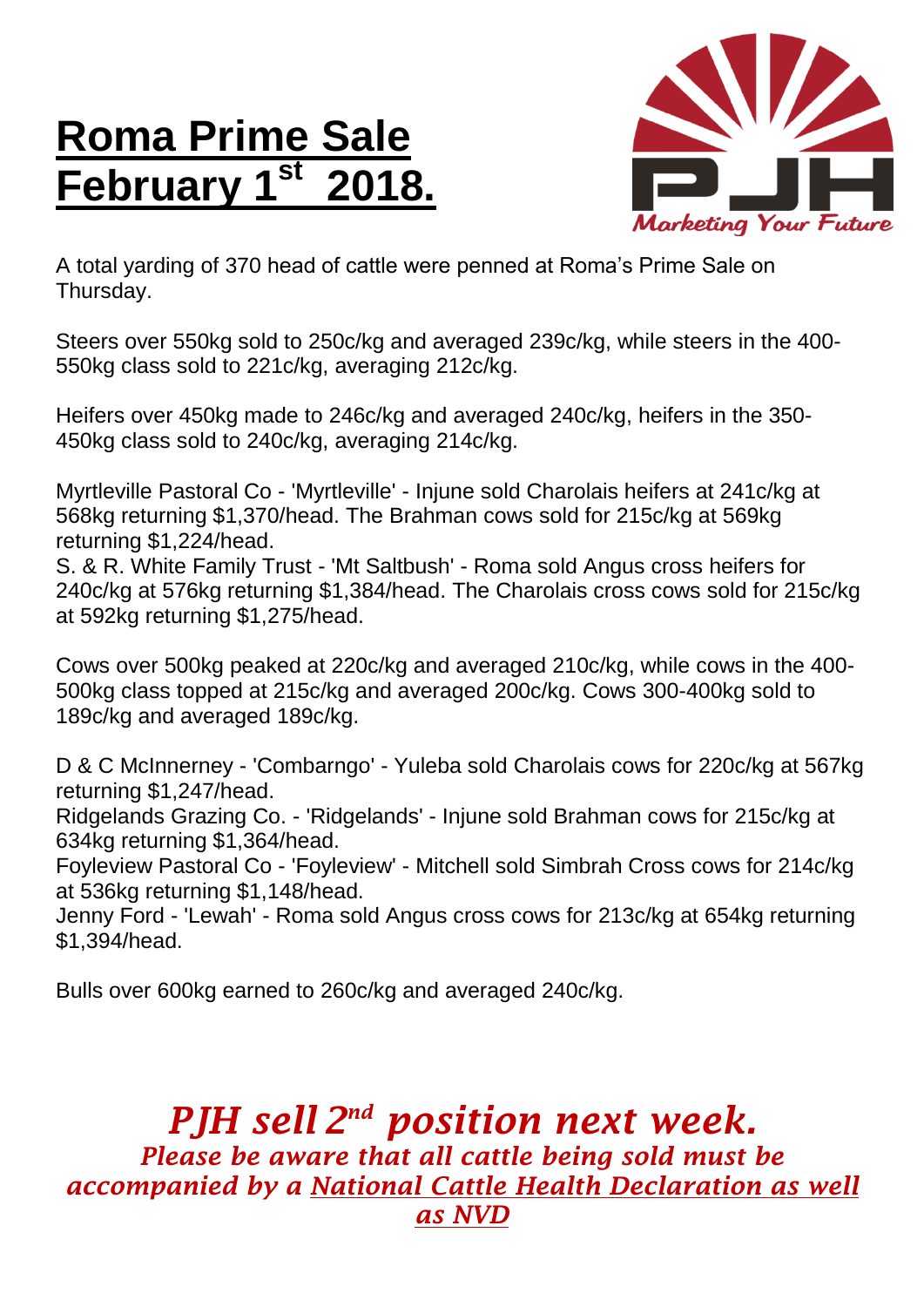## **Roma Prime Sale February**



A total yarding of 370 head of cattle were penned at Roma's Prime Sale on Thursday.

Steers over 550kg sold to 250c/kg and averaged 239c/kg, while steers in the 400- 550kg class sold to 221c/kg, averaging 212c/kg.

Heifers over 450kg made to 246c/kg and averaged 240c/kg, heifers in the 350- 450kg class sold to 240c/kg, averaging 214c/kg.

Myrtleville Pastoral Co - 'Myrtleville' - Injune sold Charolais heifers at 241c/kg at 568kg returning \$1,370/head. The Brahman cows sold for 215c/kg at 569kg returning \$1,224/head.

S. & R. White Family Trust - 'Mt Saltbush' - Roma sold Angus cross heifers for 240c/kg at 576kg returning \$1,384/head. The Charolais cross cows sold for 215c/kg at 592kg returning \$1,275/head.

Cows over 500kg peaked at 220c/kg and averaged 210c/kg, while cows in the 400- 500kg class topped at 215c/kg and averaged 200c/kg. Cows 300-400kg sold to 189c/kg and averaged 189c/kg.

D & C McInnerney - 'Combarngo' - Yuleba sold Charolais cows for 220c/kg at 567kg returning \$1,247/head.

Ridgelands Grazing Co. - 'Ridgelands' - Injune sold Brahman cows for 215c/kg at 634kg returning \$1,364/head.

Foyleview Pastoral Co - 'Foyleview' - Mitchell sold Simbrah Cross cows for 214c/kg at 536kg returning \$1,148/head.

Jenny Ford - 'Lewah' - Roma sold Angus cross cows for 213c/kg at 654kg returning \$1,394/head.

Bulls over 600kg earned to 260c/kg and averaged 240c/kg.

## *PJH sell 2 nd position next week. Please be aware that all cattle being sold must be accompanied by a National Cattle Health Declaration as well as NVD*